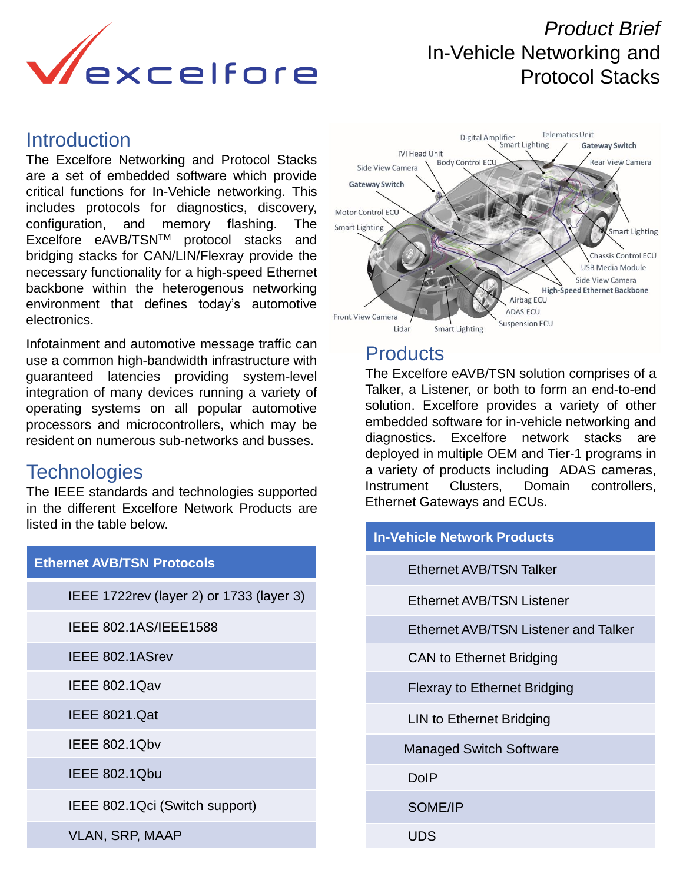

# *Product Brief*  In-Vehicle Networking and Protocol Stacks

# **Introduction**

The Excelfore Networking and Protocol Stacks are a set of embedded software which provide critical functions for In-Vehicle networking. This includes protocols for diagnostics, discovery, configuration, and memory flashing. The Excelfore eAVB/TSNTM protocol stacks and bridging stacks for CAN/LIN/Flexray provide the necessary functionality for a high-speed Ethernet backbone within the heterogenous networking environment that defines today's automotive electronics.

Infotainment and automotive message traffic can use a common high-bandwidth infrastructure with guaranteed latencies providing system-level integration of many devices running a variety of operating systems on all popular automotive processors and microcontrollers, which may be resident on numerous sub-networks and busses.

# **Technologies**

The IEEE standards and technologies supported in the different Excelfore Network Products are listed in the table below.

| <b>Ethernet AVB/TSN Protocols</b>         |
|-------------------------------------------|
| IEEE 1722 rev (layer 2) or 1733 (layer 3) |
| IEEE 802.1AS/IEEE1588                     |
| IEEE 802.1ASrev                           |
| <b>IEEE 802.1Qav</b>                      |
| <b>IEEE 8021.Qat</b>                      |
| <b>IEEE 802.1Qbv</b>                      |
| <b>IEEE 802.1Qbu</b>                      |
| IEEE 802.1Qci (Switch support)            |
| <b>VLAN, SRP, MAAP</b>                    |



# **Products**

The Excelfore eAVB/TSN solution comprises of a Talker, a Listener, or both to form an end-to-end solution. Excelfore provides a variety of other embedded software for in-vehicle networking and diagnostics. Excelfore network stacks are deployed in multiple OEM and Tier-1 programs in a variety of products including ADAS cameras, Instrument Clusters, Domain controllers, Ethernet Gateways and ECUs.

| <b>In-Vehicle Network Products</b> |                                      |  |  |  |  |  |  |
|------------------------------------|--------------------------------------|--|--|--|--|--|--|
|                                    | Ethernet AVB/TSN Talker              |  |  |  |  |  |  |
|                                    | Ethernet AVB/TSN Listener            |  |  |  |  |  |  |
|                                    | Ethernet AVB/TSN Listener and Talker |  |  |  |  |  |  |
|                                    | <b>CAN to Ethernet Bridging</b>      |  |  |  |  |  |  |
|                                    | <b>Flexray to Ethernet Bridging</b>  |  |  |  |  |  |  |
|                                    | LIN to Ethernet Bridging             |  |  |  |  |  |  |
|                                    | <b>Managed Switch Software</b>       |  |  |  |  |  |  |
|                                    | DolP                                 |  |  |  |  |  |  |
|                                    | SOME/IP                              |  |  |  |  |  |  |

UDS